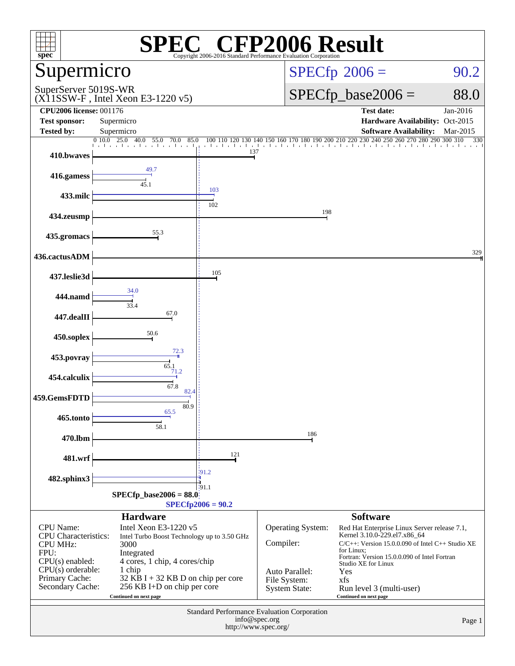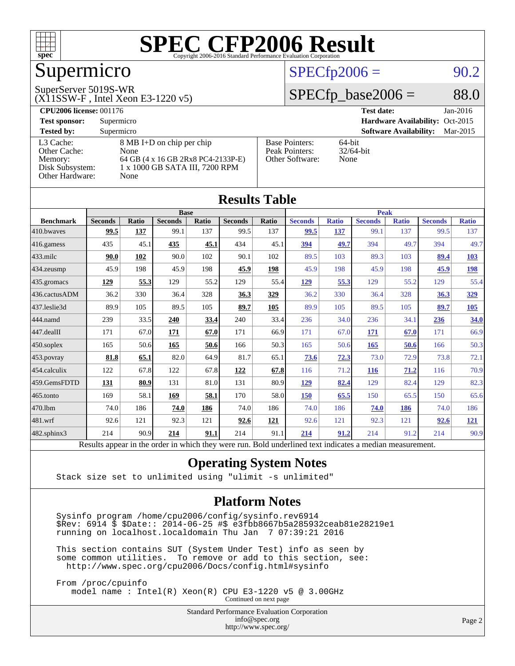

## Supermicro

#### SuperServer 5019S-WR

(X11SSW-F , Intel Xeon E3-1220 v5)

#### $SPECfp2006 = 90.2$  $SPECfp2006 = 90.2$

#### $SPECfp\_base2006 = 88.0$

| <b>CPU2006 license: 001176</b> |                                    |                       | <b>Test date:</b><br>$Jan-2016$           |
|--------------------------------|------------------------------------|-----------------------|-------------------------------------------|
| <b>Test sponsor:</b>           | Supermicro                         |                       | Hardware Availability: Oct-2015           |
| <b>Tested by:</b>              | Supermicro                         |                       | <b>Software Availability:</b><br>Mar-2015 |
| L3 Cache:                      | 8 MB I+D on chip per chip          | <b>Base Pointers:</b> | $64$ -bit                                 |
| Other Cache:                   | None                               | Peak Pointers:        | $32/64$ -bit                              |
| Memory:                        | 64 GB (4 x 16 GB 2Rx8 PC4-2133P-E) | Other Software:       | None                                      |
| Disk Subsystem:                | 1 x 1000 GB SATA III, 7200 RPM     |                       |                                           |
| Other Hardware:                | None                               |                       |                                           |

| <b>Results Table</b> |                                                                                                          |              |                |             |                |       |                |              |                |              |                |                   |
|----------------------|----------------------------------------------------------------------------------------------------------|--------------|----------------|-------------|----------------|-------|----------------|--------------|----------------|--------------|----------------|-------------------|
|                      | <b>Base</b>                                                                                              |              |                | <b>Peak</b> |                |       |                |              |                |              |                |                   |
| <b>Benchmark</b>     | <b>Seconds</b>                                                                                           | <b>Ratio</b> | <b>Seconds</b> | Ratio       | <b>Seconds</b> | Ratio | <b>Seconds</b> | <b>Ratio</b> | <b>Seconds</b> | <b>Ratio</b> | <b>Seconds</b> | <b>Ratio</b>      |
| 410.bwayes           | 99.5                                                                                                     | 137          | 99.1           | 137         | 99.5           | 137   | 99.5           | 137          | 99.1           | 137          | 99.5           | 137               |
| 416.gamess           | 435                                                                                                      | 45.1         | 435            | 45.1        | 434            | 45.1  | 394            | 49.7         | 394            | 49.7         | 394            | 49.7              |
| $433$ .milc          | 90.0                                                                                                     | 102          | 90.0           | 102         | 90.1           | 102   | 89.5           | 103          | 89.3           | 103          | 89.4           | <b>103</b>        |
| 434.zeusmp           | 45.9                                                                                                     | 198          | 45.9           | 198         | 45.9           | 198   | 45.9           | 198          | 45.9           | 198          | 45.9           | <u>198</u>        |
| 435.gromacs          | 129                                                                                                      | 55.3         | 129            | 55.2        | 129            | 55.4  | 129            | 55.3         | 129            | 55.2         | 129            | 55.4              |
| 436.cactusADM        | 36.2                                                                                                     | 330          | 36.4           | 328         | 36.3           | 329   | 36.2           | 330          | 36.4           | 328          | 36.3           | 329               |
| 437.leslie3d         | 89.9                                                                                                     | 105          | 89.5           | 105         | 89.7           | 105   | 89.9           | 105          | 89.5           | 105          | 89.7           | $\underline{105}$ |
| 444.namd             | 239                                                                                                      | 33.5         | 240            | 33.4        | 240            | 33.4  | 236            | 34.0         | 236            | 34.1         | 236            | 34.0              |
| 447.dealII           | 171                                                                                                      | 67.0         | 171            | 67.0        | 171            | 66.9  | 171            | 67.0         | 171            | 67.0         | 171            | 66.9              |
| $450$ .soplex        | 165                                                                                                      | 50.6         | 165            | 50.6        | 166            | 50.3  | 165            | 50.6         | 165            | 50.6         | 166            | 50.3              |
| 453.povray           | 81.8                                                                                                     | 65.1         | 82.0           | 64.9        | 81.7           | 65.1  | 73.6           | 72.3         | 73.0           | 72.9         | 73.8           | 72.1              |
| 454.calculix         | 122                                                                                                      | 67.8         | 122            | 67.8        | 122            | 67.8  | 116            | 71.2         | <b>116</b>     | 71.2         | 116            | 70.9              |
| 459.GemsFDTD         | 131                                                                                                      | 80.9         | 131            | 81.0        | 131            | 80.9  | 129            | 82.4         | 129            | 82.4         | 129            | 82.3              |
| 465.tonto            | 169                                                                                                      | 58.1         | 169            | 58.1        | 170            | 58.0  | 150            | 65.5         | 150            | 65.5         | 150            | 65.6              |
| 470.1bm              | 74.0                                                                                                     | 186          | 74.0           | 186         | 74.0           | 186   | 74.0           | 186          | 74.0           | 186          | 74.0           | 186               |
| 481.wrf              | 92.6                                                                                                     | 121          | 92.3           | 121         | 92.6           | 121   | 92.6           | 121          | 92.3           | 121          | 92.6           | <u> 121</u>       |
| $482$ .sphinx $3$    | 214                                                                                                      | 90.9         | 214            | 91.1        | 214            | 91.1  | 214            | 91.2         | 214            | 91.2         | 214            | 90.9              |
|                      | Results appear in the order in which they were run. Bold underlined text indicates a median measurement. |              |                |             |                |       |                |              |                |              |                |                   |

#### **[Operating System Notes](http://www.spec.org/auto/cpu2006/Docs/result-fields.html#OperatingSystemNotes)**

Stack size set to unlimited using "ulimit -s unlimited"

#### **[Platform Notes](http://www.spec.org/auto/cpu2006/Docs/result-fields.html#PlatformNotes)**

 Sysinfo program /home/cpu2006/config/sysinfo.rev6914 \$Rev: 6914 \$ \$Date:: 2014-06-25 #\$ e3fbb8667b5a285932ceab81e28219e1 running on localhost.localdomain Thu Jan 7 07:39:21 2016

 This section contains SUT (System Under Test) info as seen by some common utilities. To remove or add to this section, see: <http://www.spec.org/cpu2006/Docs/config.html#sysinfo>

 From /proc/cpuinfo model name : Intel(R) Xeon(R) CPU E3-1220 v5 @ 3.00GHz Continued on next page

> Standard Performance Evaluation Corporation [info@spec.org](mailto:info@spec.org) <http://www.spec.org/>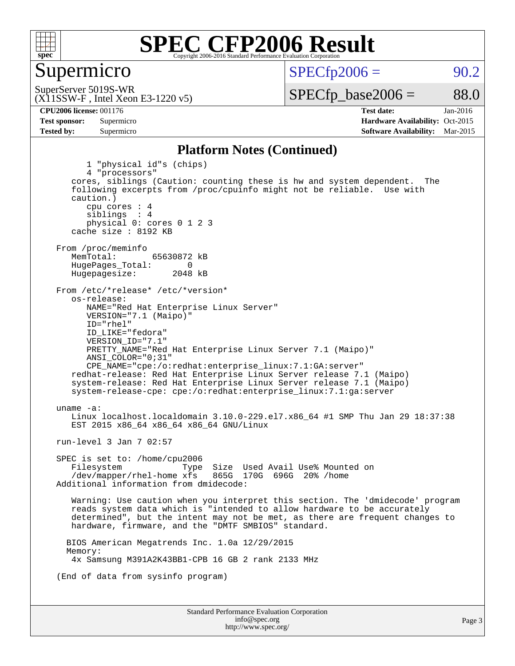

#### Supermicro

 $SPECTp2006 = 90.2$ 

(X11SSW-F , Intel Xeon E3-1220 v5) SuperServer 5019S-WR

 $SPECTp\_base2006 = 88.0$ 

**[CPU2006 license:](http://www.spec.org/auto/cpu2006/Docs/result-fields.html#CPU2006license)** 001176 **[Test date:](http://www.spec.org/auto/cpu2006/Docs/result-fields.html#Testdate)** Jan-2016 **[Test sponsor:](http://www.spec.org/auto/cpu2006/Docs/result-fields.html#Testsponsor)** Supermicro Supermicro **[Hardware Availability:](http://www.spec.org/auto/cpu2006/Docs/result-fields.html#HardwareAvailability)** Oct-2015 **[Tested by:](http://www.spec.org/auto/cpu2006/Docs/result-fields.html#Testedby)** Supermicro **Supermicro [Software Availability:](http://www.spec.org/auto/cpu2006/Docs/result-fields.html#SoftwareAvailability)** Mar-2015

#### **[Platform Notes \(Continued\)](http://www.spec.org/auto/cpu2006/Docs/result-fields.html#PlatformNotes)**

Standard Performance Evaluation Corporation [info@spec.org](mailto:info@spec.org) Page 3 1 "physical id"s (chips) 4 "processors" cores, siblings (Caution: counting these is hw and system dependent. The following excerpts from /proc/cpuinfo might not be reliable. Use with caution.) cpu cores : 4 siblings : 4 physical 0: cores 0 1 2 3 cache size : 8192 KB From /proc/meminfo<br>MemTotal: 65630872 kB HugePages\_Total: 0<br>Hugepagesize: 2048 kB Hugepagesize: From /etc/\*release\* /etc/\*version\* os-release: NAME="Red Hat Enterprise Linux Server" VERSION="7.1 (Maipo)" ID="rhel" ID\_LIKE="fedora" VERSION\_ID="7.1" PRETTY\_NAME="Red Hat Enterprise Linux Server 7.1 (Maipo)" ANSI\_COLOR="0;31" CPE\_NAME="cpe:/o:redhat:enterprise\_linux:7.1:GA:server" redhat-release: Red Hat Enterprise Linux Server release 7.1 (Maipo) system-release: Red Hat Enterprise Linux Server release 7.1 (Maipo) system-release-cpe: cpe:/o:redhat:enterprise\_linux:7.1:ga:server uname -a: Linux localhost.localdomain 3.10.0-229.el7.x86\_64 #1 SMP Thu Jan 29 18:37:38 EST 2015 x86\_64 x86\_64 x86\_64 GNU/Linux run-level 3 Jan 7 02:57 SPEC is set to: /home/cpu2006 Filesystem Type Size Used Avail Use% Mounted on<br>/dev/mapper/rhel-home xfs 865G 170G 696G 20% /home  $/$ dev/mapper/rhel-home  $x$ fs Additional information from dmidecode: Warning: Use caution when you interpret this section. The 'dmidecode' program reads system data which is "intended to allow hardware to be accurately determined", but the intent may not be met, as there are frequent changes to hardware, firmware, and the "DMTF SMBIOS" standard. BIOS American Megatrends Inc. 1.0a 12/29/2015 Memory: 4x Samsung M391A2K43BB1-CPB 16 GB 2 rank 2133 MHz (End of data from sysinfo program)

<http://www.spec.org/>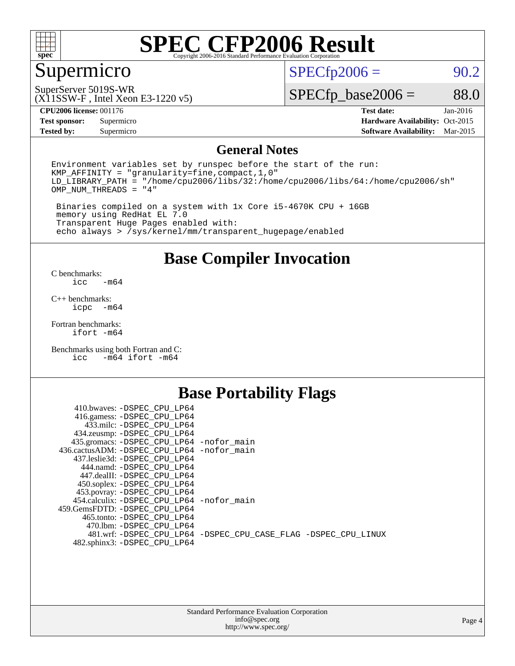

### Supermicro

 $SPECfp2006 = 90.2$  $SPECfp2006 = 90.2$ 

(X11SSW-F , Intel Xeon E3-1220 v5) SuperServer 5019S-WR

 $SPECfp\_base2006 = 88.0$ 

**[CPU2006 license:](http://www.spec.org/auto/cpu2006/Docs/result-fields.html#CPU2006license)** 001176 **[Test date:](http://www.spec.org/auto/cpu2006/Docs/result-fields.html#Testdate)** Jan-2016

**[Tested by:](http://www.spec.org/auto/cpu2006/Docs/result-fields.html#Testedby)** Supermicro **[Software Availability:](http://www.spec.org/auto/cpu2006/Docs/result-fields.html#SoftwareAvailability)** Mar-2015

**[Test sponsor:](http://www.spec.org/auto/cpu2006/Docs/result-fields.html#Testsponsor)** Supermicro Supermicro **[Hardware Availability:](http://www.spec.org/auto/cpu2006/Docs/result-fields.html#HardwareAvailability)** Oct-2015

#### **[General Notes](http://www.spec.org/auto/cpu2006/Docs/result-fields.html#GeneralNotes)**

Environment variables set by runspec before the start of the run: KMP\_AFFINITY = "granularity=fine,compact,1,0" LD\_LIBRARY\_PATH = "/home/cpu2006/libs/32:/home/cpu2006/libs/64:/home/cpu2006/sh" OMP\_NUM\_THREADS = "4"

 Binaries compiled on a system with 1x Core i5-4670K CPU + 16GB memory using RedHat EL 7.0 Transparent Huge Pages enabled with: echo always > /sys/kernel/mm/transparent\_hugepage/enabled

#### **[Base Compiler Invocation](http://www.spec.org/auto/cpu2006/Docs/result-fields.html#BaseCompilerInvocation)**

[C benchmarks](http://www.spec.org/auto/cpu2006/Docs/result-fields.html#Cbenchmarks):  $-m64$ 

[C++ benchmarks:](http://www.spec.org/auto/cpu2006/Docs/result-fields.html#CXXbenchmarks) [icpc -m64](http://www.spec.org/cpu2006/results/res2016q1/cpu2006-20160111-38658.flags.html#user_CXXbase_intel_icpc_64bit_bedb90c1146cab66620883ef4f41a67e)

[Fortran benchmarks](http://www.spec.org/auto/cpu2006/Docs/result-fields.html#Fortranbenchmarks): [ifort -m64](http://www.spec.org/cpu2006/results/res2016q1/cpu2006-20160111-38658.flags.html#user_FCbase_intel_ifort_64bit_ee9d0fb25645d0210d97eb0527dcc06e)

[Benchmarks using both Fortran and C](http://www.spec.org/auto/cpu2006/Docs/result-fields.html#BenchmarksusingbothFortranandC): [icc -m64](http://www.spec.org/cpu2006/results/res2016q1/cpu2006-20160111-38658.flags.html#user_CC_FCbase_intel_icc_64bit_0b7121f5ab7cfabee23d88897260401c) [ifort -m64](http://www.spec.org/cpu2006/results/res2016q1/cpu2006-20160111-38658.flags.html#user_CC_FCbase_intel_ifort_64bit_ee9d0fb25645d0210d97eb0527dcc06e)

### **[Base Portability Flags](http://www.spec.org/auto/cpu2006/Docs/result-fields.html#BasePortabilityFlags)**

| 410.bwaves: -DSPEC CPU LP64                 |                                                                |
|---------------------------------------------|----------------------------------------------------------------|
| 416.gamess: -DSPEC_CPU_LP64                 |                                                                |
| 433.milc: -DSPEC CPU LP64                   |                                                                |
| 434.zeusmp: -DSPEC_CPU_LP64                 |                                                                |
| 435.gromacs: -DSPEC_CPU_LP64 -nofor_main    |                                                                |
| 436.cactusADM: -DSPEC CPU LP64 -nofor main  |                                                                |
| 437.leslie3d: -DSPEC CPU LP64               |                                                                |
| 444.namd: -DSPEC CPU LP64                   |                                                                |
| 447.dealII: -DSPEC CPU LP64                 |                                                                |
| 450.soplex: -DSPEC_CPU_LP64                 |                                                                |
| 453.povray: -DSPEC_CPU_LP64                 |                                                                |
| 454.calculix: - DSPEC CPU LP64 - nofor main |                                                                |
| 459. GemsFDTD: - DSPEC CPU LP64             |                                                                |
| 465.tonto: - DSPEC CPU LP64                 |                                                                |
| 470.1bm: - DSPEC CPU LP64                   |                                                                |
|                                             | 481.wrf: -DSPEC_CPU_LP64 -DSPEC_CPU_CASE_FLAG -DSPEC_CPU_LINUX |
| 482.sphinx3: -DSPEC_CPU_LP64                |                                                                |
|                                             |                                                                |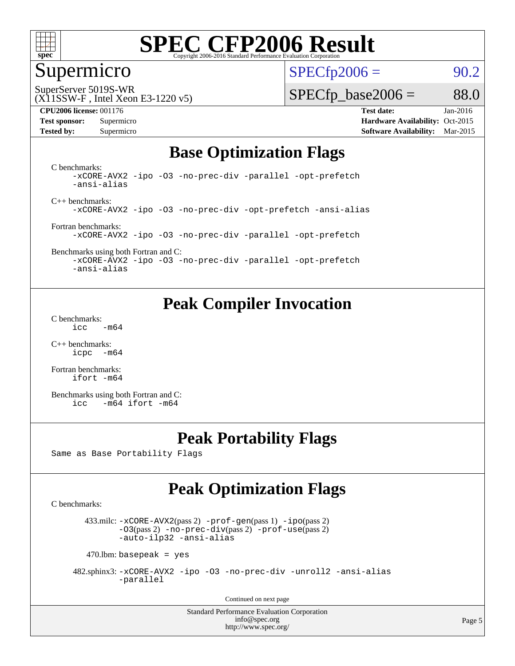

#### Supermicro

 $SPECTp2006 = 90.2$ 

SuperServer 5019S-WR

#### (X11SSW-F , Intel Xeon E3-1220 v5)

 $SPECTp\_base2006 = 88.0$ 

**[CPU2006 license:](http://www.spec.org/auto/cpu2006/Docs/result-fields.html#CPU2006license)** 001176 **[Test date:](http://www.spec.org/auto/cpu2006/Docs/result-fields.html#Testdate)** Jan-2016 **[Test sponsor:](http://www.spec.org/auto/cpu2006/Docs/result-fields.html#Testsponsor)** Supermicro Supermicro **[Hardware Availability:](http://www.spec.org/auto/cpu2006/Docs/result-fields.html#HardwareAvailability)** Oct-2015 **[Tested by:](http://www.spec.org/auto/cpu2006/Docs/result-fields.html#Testedby)** Supermicro **Supermicro [Software Availability:](http://www.spec.org/auto/cpu2006/Docs/result-fields.html#SoftwareAvailability)** Mar-2015

#### **[Base Optimization Flags](http://www.spec.org/auto/cpu2006/Docs/result-fields.html#BaseOptimizationFlags)**

[C benchmarks](http://www.spec.org/auto/cpu2006/Docs/result-fields.html#Cbenchmarks): [-xCORE-AVX2](http://www.spec.org/cpu2006/results/res2016q1/cpu2006-20160111-38658.flags.html#user_CCbase_f-xAVX2_5f5fc0cbe2c9f62c816d3e45806c70d7) [-ipo](http://www.spec.org/cpu2006/results/res2016q1/cpu2006-20160111-38658.flags.html#user_CCbase_f-ipo) [-O3](http://www.spec.org/cpu2006/results/res2016q1/cpu2006-20160111-38658.flags.html#user_CCbase_f-O3) [-no-prec-div](http://www.spec.org/cpu2006/results/res2016q1/cpu2006-20160111-38658.flags.html#user_CCbase_f-no-prec-div) [-parallel](http://www.spec.org/cpu2006/results/res2016q1/cpu2006-20160111-38658.flags.html#user_CCbase_f-parallel) [-opt-prefetch](http://www.spec.org/cpu2006/results/res2016q1/cpu2006-20160111-38658.flags.html#user_CCbase_f-opt-prefetch) [-ansi-alias](http://www.spec.org/cpu2006/results/res2016q1/cpu2006-20160111-38658.flags.html#user_CCbase_f-ansi-alias)

[C++ benchmarks:](http://www.spec.org/auto/cpu2006/Docs/result-fields.html#CXXbenchmarks) [-xCORE-AVX2](http://www.spec.org/cpu2006/results/res2016q1/cpu2006-20160111-38658.flags.html#user_CXXbase_f-xAVX2_5f5fc0cbe2c9f62c816d3e45806c70d7) [-ipo](http://www.spec.org/cpu2006/results/res2016q1/cpu2006-20160111-38658.flags.html#user_CXXbase_f-ipo) [-O3](http://www.spec.org/cpu2006/results/res2016q1/cpu2006-20160111-38658.flags.html#user_CXXbase_f-O3) [-no-prec-div](http://www.spec.org/cpu2006/results/res2016q1/cpu2006-20160111-38658.flags.html#user_CXXbase_f-no-prec-div) [-opt-prefetch](http://www.spec.org/cpu2006/results/res2016q1/cpu2006-20160111-38658.flags.html#user_CXXbase_f-opt-prefetch) [-ansi-alias](http://www.spec.org/cpu2006/results/res2016q1/cpu2006-20160111-38658.flags.html#user_CXXbase_f-ansi-alias)

[Fortran benchmarks](http://www.spec.org/auto/cpu2006/Docs/result-fields.html#Fortranbenchmarks): [-xCORE-AVX2](http://www.spec.org/cpu2006/results/res2016q1/cpu2006-20160111-38658.flags.html#user_FCbase_f-xAVX2_5f5fc0cbe2c9f62c816d3e45806c70d7) [-ipo](http://www.spec.org/cpu2006/results/res2016q1/cpu2006-20160111-38658.flags.html#user_FCbase_f-ipo) [-O3](http://www.spec.org/cpu2006/results/res2016q1/cpu2006-20160111-38658.flags.html#user_FCbase_f-O3) [-no-prec-div](http://www.spec.org/cpu2006/results/res2016q1/cpu2006-20160111-38658.flags.html#user_FCbase_f-no-prec-div) [-parallel](http://www.spec.org/cpu2006/results/res2016q1/cpu2006-20160111-38658.flags.html#user_FCbase_f-parallel) [-opt-prefetch](http://www.spec.org/cpu2006/results/res2016q1/cpu2006-20160111-38658.flags.html#user_FCbase_f-opt-prefetch)

[Benchmarks using both Fortran and C](http://www.spec.org/auto/cpu2006/Docs/result-fields.html#BenchmarksusingbothFortranandC): [-xCORE-AVX2](http://www.spec.org/cpu2006/results/res2016q1/cpu2006-20160111-38658.flags.html#user_CC_FCbase_f-xAVX2_5f5fc0cbe2c9f62c816d3e45806c70d7) [-ipo](http://www.spec.org/cpu2006/results/res2016q1/cpu2006-20160111-38658.flags.html#user_CC_FCbase_f-ipo) [-O3](http://www.spec.org/cpu2006/results/res2016q1/cpu2006-20160111-38658.flags.html#user_CC_FCbase_f-O3) [-no-prec-div](http://www.spec.org/cpu2006/results/res2016q1/cpu2006-20160111-38658.flags.html#user_CC_FCbase_f-no-prec-div) [-parallel](http://www.spec.org/cpu2006/results/res2016q1/cpu2006-20160111-38658.flags.html#user_CC_FCbase_f-parallel) [-opt-prefetch](http://www.spec.org/cpu2006/results/res2016q1/cpu2006-20160111-38658.flags.html#user_CC_FCbase_f-opt-prefetch)

[-ansi-alias](http://www.spec.org/cpu2006/results/res2016q1/cpu2006-20160111-38658.flags.html#user_CC_FCbase_f-ansi-alias)

### **[Peak Compiler Invocation](http://www.spec.org/auto/cpu2006/Docs/result-fields.html#PeakCompilerInvocation)**

[C benchmarks](http://www.spec.org/auto/cpu2006/Docs/result-fields.html#Cbenchmarks):  $\text{icc}$  -m64

[C++ benchmarks:](http://www.spec.org/auto/cpu2006/Docs/result-fields.html#CXXbenchmarks) [icpc -m64](http://www.spec.org/cpu2006/results/res2016q1/cpu2006-20160111-38658.flags.html#user_CXXpeak_intel_icpc_64bit_bedb90c1146cab66620883ef4f41a67e)

[Fortran benchmarks](http://www.spec.org/auto/cpu2006/Docs/result-fields.html#Fortranbenchmarks): [ifort -m64](http://www.spec.org/cpu2006/results/res2016q1/cpu2006-20160111-38658.flags.html#user_FCpeak_intel_ifort_64bit_ee9d0fb25645d0210d97eb0527dcc06e)

[Benchmarks using both Fortran and C](http://www.spec.org/auto/cpu2006/Docs/result-fields.html#BenchmarksusingbothFortranandC): [icc -m64](http://www.spec.org/cpu2006/results/res2016q1/cpu2006-20160111-38658.flags.html#user_CC_FCpeak_intel_icc_64bit_0b7121f5ab7cfabee23d88897260401c) [ifort -m64](http://www.spec.org/cpu2006/results/res2016q1/cpu2006-20160111-38658.flags.html#user_CC_FCpeak_intel_ifort_64bit_ee9d0fb25645d0210d97eb0527dcc06e)

### **[Peak Portability Flags](http://www.spec.org/auto/cpu2006/Docs/result-fields.html#PeakPortabilityFlags)**

Same as Base Portability Flags

### **[Peak Optimization Flags](http://www.spec.org/auto/cpu2006/Docs/result-fields.html#PeakOptimizationFlags)**

[C benchmarks](http://www.spec.org/auto/cpu2006/Docs/result-fields.html#Cbenchmarks):

 433.milc: [-xCORE-AVX2](http://www.spec.org/cpu2006/results/res2016q1/cpu2006-20160111-38658.flags.html#user_peakPASS2_CFLAGSPASS2_LDFLAGS433_milc_f-xAVX2_5f5fc0cbe2c9f62c816d3e45806c70d7)(pass 2) [-prof-gen](http://www.spec.org/cpu2006/results/res2016q1/cpu2006-20160111-38658.flags.html#user_peakPASS1_CFLAGSPASS1_LDFLAGS433_milc_prof_gen_e43856698f6ca7b7e442dfd80e94a8fc)(pass 1) [-ipo](http://www.spec.org/cpu2006/results/res2016q1/cpu2006-20160111-38658.flags.html#user_peakPASS2_CFLAGSPASS2_LDFLAGS433_milc_f-ipo)(pass 2) [-O3](http://www.spec.org/cpu2006/results/res2016q1/cpu2006-20160111-38658.flags.html#user_peakPASS2_CFLAGSPASS2_LDFLAGS433_milc_f-O3)(pass 2) [-no-prec-div](http://www.spec.org/cpu2006/results/res2016q1/cpu2006-20160111-38658.flags.html#user_peakPASS2_CFLAGSPASS2_LDFLAGS433_milc_f-no-prec-div)(pass 2) [-prof-use](http://www.spec.org/cpu2006/results/res2016q1/cpu2006-20160111-38658.flags.html#user_peakPASS2_CFLAGSPASS2_LDFLAGS433_milc_prof_use_bccf7792157ff70d64e32fe3e1250b55)(pass 2) [-auto-ilp32](http://www.spec.org/cpu2006/results/res2016q1/cpu2006-20160111-38658.flags.html#user_peakCOPTIMIZE433_milc_f-auto-ilp32) [-ansi-alias](http://www.spec.org/cpu2006/results/res2016q1/cpu2006-20160111-38658.flags.html#user_peakCOPTIMIZE433_milc_f-ansi-alias)

 $470$ .lbm: basepeak = yes

 482.sphinx3: [-xCORE-AVX2](http://www.spec.org/cpu2006/results/res2016q1/cpu2006-20160111-38658.flags.html#user_peakOPTIMIZE482_sphinx3_f-xAVX2_5f5fc0cbe2c9f62c816d3e45806c70d7) [-ipo](http://www.spec.org/cpu2006/results/res2016q1/cpu2006-20160111-38658.flags.html#user_peakOPTIMIZE482_sphinx3_f-ipo) [-O3](http://www.spec.org/cpu2006/results/res2016q1/cpu2006-20160111-38658.flags.html#user_peakOPTIMIZE482_sphinx3_f-O3) [-no-prec-div](http://www.spec.org/cpu2006/results/res2016q1/cpu2006-20160111-38658.flags.html#user_peakOPTIMIZE482_sphinx3_f-no-prec-div) [-unroll2](http://www.spec.org/cpu2006/results/res2016q1/cpu2006-20160111-38658.flags.html#user_peakCOPTIMIZE482_sphinx3_f-unroll_784dae83bebfb236979b41d2422d7ec2) [-ansi-alias](http://www.spec.org/cpu2006/results/res2016q1/cpu2006-20160111-38658.flags.html#user_peakCOPTIMIZE482_sphinx3_f-ansi-alias) [-parallel](http://www.spec.org/cpu2006/results/res2016q1/cpu2006-20160111-38658.flags.html#user_peakCOPTIMIZE482_sphinx3_f-parallel)

Continued on next page

Standard Performance Evaluation Corporation [info@spec.org](mailto:info@spec.org) <http://www.spec.org/>

Page 5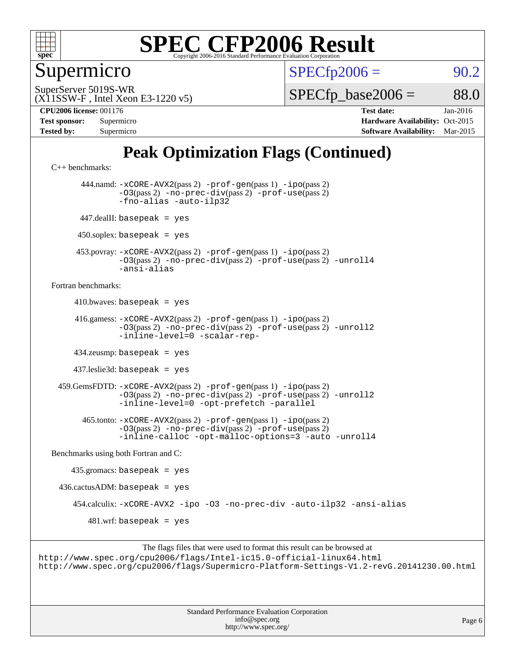

Supermicro

 $SPECTp2006 = 90.2$ 

(X11SSW-F , Intel Xeon E3-1220 v5) SuperServer 5019S-WR

 $SPECTp\_base2006 = 88.0$ 

**[CPU2006 license:](http://www.spec.org/auto/cpu2006/Docs/result-fields.html#CPU2006license)** 001176 **[Test date:](http://www.spec.org/auto/cpu2006/Docs/result-fields.html#Testdate)** Jan-2016

| <b>Test sponsor:</b> | Supermicro |
|----------------------|------------|
| <b>Tested by:</b>    | Supermicro |

**[Hardware Availability:](http://www.spec.org/auto/cpu2006/Docs/result-fields.html#HardwareAvailability)** Oct-2015 **[Software Availability:](http://www.spec.org/auto/cpu2006/Docs/result-fields.html#SoftwareAvailability)** Mar-2015

### **[Peak Optimization Flags \(Continued\)](http://www.spec.org/auto/cpu2006/Docs/result-fields.html#PeakOptimizationFlags)**

[C++ benchmarks:](http://www.spec.org/auto/cpu2006/Docs/result-fields.html#CXXbenchmarks)

 444.namd: [-xCORE-AVX2](http://www.spec.org/cpu2006/results/res2016q1/cpu2006-20160111-38658.flags.html#user_peakPASS2_CXXFLAGSPASS2_LDFLAGS444_namd_f-xAVX2_5f5fc0cbe2c9f62c816d3e45806c70d7)(pass 2) [-prof-gen](http://www.spec.org/cpu2006/results/res2016q1/cpu2006-20160111-38658.flags.html#user_peakPASS1_CXXFLAGSPASS1_LDFLAGS444_namd_prof_gen_e43856698f6ca7b7e442dfd80e94a8fc)(pass 1) [-ipo](http://www.spec.org/cpu2006/results/res2016q1/cpu2006-20160111-38658.flags.html#user_peakPASS2_CXXFLAGSPASS2_LDFLAGS444_namd_f-ipo)(pass 2) [-O3](http://www.spec.org/cpu2006/results/res2016q1/cpu2006-20160111-38658.flags.html#user_peakPASS2_CXXFLAGSPASS2_LDFLAGS444_namd_f-O3)(pass 2) [-no-prec-div](http://www.spec.org/cpu2006/results/res2016q1/cpu2006-20160111-38658.flags.html#user_peakPASS2_CXXFLAGSPASS2_LDFLAGS444_namd_f-no-prec-div)(pass 2) [-prof-use](http://www.spec.org/cpu2006/results/res2016q1/cpu2006-20160111-38658.flags.html#user_peakPASS2_CXXFLAGSPASS2_LDFLAGS444_namd_prof_use_bccf7792157ff70d64e32fe3e1250b55)(pass 2) [-fno-alias](http://www.spec.org/cpu2006/results/res2016q1/cpu2006-20160111-38658.flags.html#user_peakCXXOPTIMIZEOPTIMIZE444_namd_f-no-alias_694e77f6c5a51e658e82ccff53a9e63a) [-auto-ilp32](http://www.spec.org/cpu2006/results/res2016q1/cpu2006-20160111-38658.flags.html#user_peakCXXOPTIMIZE444_namd_f-auto-ilp32) 447.dealII: basepeak = yes  $450$ .soplex: basepeak = yes 453.povray: [-xCORE-AVX2](http://www.spec.org/cpu2006/results/res2016q1/cpu2006-20160111-38658.flags.html#user_peakPASS2_CXXFLAGSPASS2_LDFLAGS453_povray_f-xAVX2_5f5fc0cbe2c9f62c816d3e45806c70d7)(pass 2) [-prof-gen](http://www.spec.org/cpu2006/results/res2016q1/cpu2006-20160111-38658.flags.html#user_peakPASS1_CXXFLAGSPASS1_LDFLAGS453_povray_prof_gen_e43856698f6ca7b7e442dfd80e94a8fc)(pass 1) [-ipo](http://www.spec.org/cpu2006/results/res2016q1/cpu2006-20160111-38658.flags.html#user_peakPASS2_CXXFLAGSPASS2_LDFLAGS453_povray_f-ipo)(pass 2) [-O3](http://www.spec.org/cpu2006/results/res2016q1/cpu2006-20160111-38658.flags.html#user_peakPASS2_CXXFLAGSPASS2_LDFLAGS453_povray_f-O3)(pass 2) [-no-prec-div](http://www.spec.org/cpu2006/results/res2016q1/cpu2006-20160111-38658.flags.html#user_peakPASS2_CXXFLAGSPASS2_LDFLAGS453_povray_f-no-prec-div)(pass 2) [-prof-use](http://www.spec.org/cpu2006/results/res2016q1/cpu2006-20160111-38658.flags.html#user_peakPASS2_CXXFLAGSPASS2_LDFLAGS453_povray_prof_use_bccf7792157ff70d64e32fe3e1250b55)(pass 2) [-unroll4](http://www.spec.org/cpu2006/results/res2016q1/cpu2006-20160111-38658.flags.html#user_peakCXXOPTIMIZE453_povray_f-unroll_4e5e4ed65b7fd20bdcd365bec371b81f) [-ansi-alias](http://www.spec.org/cpu2006/results/res2016q1/cpu2006-20160111-38658.flags.html#user_peakCXXOPTIMIZE453_povray_f-ansi-alias) [Fortran benchmarks](http://www.spec.org/auto/cpu2006/Docs/result-fields.html#Fortranbenchmarks):  $410.bwaves: basepeak = yes$  416.gamess: [-xCORE-AVX2](http://www.spec.org/cpu2006/results/res2016q1/cpu2006-20160111-38658.flags.html#user_peakPASS2_FFLAGSPASS2_LDFLAGS416_gamess_f-xAVX2_5f5fc0cbe2c9f62c816d3e45806c70d7)(pass 2) [-prof-gen](http://www.spec.org/cpu2006/results/res2016q1/cpu2006-20160111-38658.flags.html#user_peakPASS1_FFLAGSPASS1_LDFLAGS416_gamess_prof_gen_e43856698f6ca7b7e442dfd80e94a8fc)(pass 1) [-ipo](http://www.spec.org/cpu2006/results/res2016q1/cpu2006-20160111-38658.flags.html#user_peakPASS2_FFLAGSPASS2_LDFLAGS416_gamess_f-ipo)(pass 2) [-O3](http://www.spec.org/cpu2006/results/res2016q1/cpu2006-20160111-38658.flags.html#user_peakPASS2_FFLAGSPASS2_LDFLAGS416_gamess_f-O3)(pass 2) [-no-prec-div](http://www.spec.org/cpu2006/results/res2016q1/cpu2006-20160111-38658.flags.html#user_peakPASS2_FFLAGSPASS2_LDFLAGS416_gamess_f-no-prec-div)(pass 2) [-prof-use](http://www.spec.org/cpu2006/results/res2016q1/cpu2006-20160111-38658.flags.html#user_peakPASS2_FFLAGSPASS2_LDFLAGS416_gamess_prof_use_bccf7792157ff70d64e32fe3e1250b55)(pass 2) [-unroll2](http://www.spec.org/cpu2006/results/res2016q1/cpu2006-20160111-38658.flags.html#user_peakOPTIMIZE416_gamess_f-unroll_784dae83bebfb236979b41d2422d7ec2) [-inline-level=0](http://www.spec.org/cpu2006/results/res2016q1/cpu2006-20160111-38658.flags.html#user_peakOPTIMIZE416_gamess_f-inline-level_318d07a09274ad25e8d15dbfaa68ba50) [-scalar-rep-](http://www.spec.org/cpu2006/results/res2016q1/cpu2006-20160111-38658.flags.html#user_peakOPTIMIZE416_gamess_f-disablescalarrep_abbcad04450fb118e4809c81d83c8a1d) 434.zeusmp: basepeak = yes 437.leslie3d: basepeak = yes 459.GemsFDTD: [-xCORE-AVX2](http://www.spec.org/cpu2006/results/res2016q1/cpu2006-20160111-38658.flags.html#user_peakPASS2_FFLAGSPASS2_LDFLAGS459_GemsFDTD_f-xAVX2_5f5fc0cbe2c9f62c816d3e45806c70d7)(pass 2) [-prof-gen](http://www.spec.org/cpu2006/results/res2016q1/cpu2006-20160111-38658.flags.html#user_peakPASS1_FFLAGSPASS1_LDFLAGS459_GemsFDTD_prof_gen_e43856698f6ca7b7e442dfd80e94a8fc)(pass 1) [-ipo](http://www.spec.org/cpu2006/results/res2016q1/cpu2006-20160111-38658.flags.html#user_peakPASS2_FFLAGSPASS2_LDFLAGS459_GemsFDTD_f-ipo)(pass 2) [-O3](http://www.spec.org/cpu2006/results/res2016q1/cpu2006-20160111-38658.flags.html#user_peakPASS2_FFLAGSPASS2_LDFLAGS459_GemsFDTD_f-O3)(pass 2) [-no-prec-div](http://www.spec.org/cpu2006/results/res2016q1/cpu2006-20160111-38658.flags.html#user_peakPASS2_FFLAGSPASS2_LDFLAGS459_GemsFDTD_f-no-prec-div)(pass 2) [-prof-use](http://www.spec.org/cpu2006/results/res2016q1/cpu2006-20160111-38658.flags.html#user_peakPASS2_FFLAGSPASS2_LDFLAGS459_GemsFDTD_prof_use_bccf7792157ff70d64e32fe3e1250b55)(pass 2) [-unroll2](http://www.spec.org/cpu2006/results/res2016q1/cpu2006-20160111-38658.flags.html#user_peakOPTIMIZE459_GemsFDTD_f-unroll_784dae83bebfb236979b41d2422d7ec2) [-inline-level=0](http://www.spec.org/cpu2006/results/res2016q1/cpu2006-20160111-38658.flags.html#user_peakOPTIMIZE459_GemsFDTD_f-inline-level_318d07a09274ad25e8d15dbfaa68ba50) [-opt-prefetch](http://www.spec.org/cpu2006/results/res2016q1/cpu2006-20160111-38658.flags.html#user_peakOPTIMIZE459_GemsFDTD_f-opt-prefetch) [-parallel](http://www.spec.org/cpu2006/results/res2016q1/cpu2006-20160111-38658.flags.html#user_peakOPTIMIZE459_GemsFDTD_f-parallel) 465.tonto: [-xCORE-AVX2](http://www.spec.org/cpu2006/results/res2016q1/cpu2006-20160111-38658.flags.html#user_peakPASS2_FFLAGSPASS2_LDFLAGS465_tonto_f-xAVX2_5f5fc0cbe2c9f62c816d3e45806c70d7)(pass 2) [-prof-gen](http://www.spec.org/cpu2006/results/res2016q1/cpu2006-20160111-38658.flags.html#user_peakPASS1_FFLAGSPASS1_LDFLAGS465_tonto_prof_gen_e43856698f6ca7b7e442dfd80e94a8fc)(pass 1) [-ipo](http://www.spec.org/cpu2006/results/res2016q1/cpu2006-20160111-38658.flags.html#user_peakPASS2_FFLAGSPASS2_LDFLAGS465_tonto_f-ipo)(pass 2) [-O3](http://www.spec.org/cpu2006/results/res2016q1/cpu2006-20160111-38658.flags.html#user_peakPASS2_FFLAGSPASS2_LDFLAGS465_tonto_f-O3)(pass 2) [-no-prec-div](http://www.spec.org/cpu2006/results/res2016q1/cpu2006-20160111-38658.flags.html#user_peakPASS2_FFLAGSPASS2_LDFLAGS465_tonto_f-no-prec-div)(pass 2) [-prof-use](http://www.spec.org/cpu2006/results/res2016q1/cpu2006-20160111-38658.flags.html#user_peakPASS2_FFLAGSPASS2_LDFLAGS465_tonto_prof_use_bccf7792157ff70d64e32fe3e1250b55)(pass 2) [-inline-calloc](http://www.spec.org/cpu2006/results/res2016q1/cpu2006-20160111-38658.flags.html#user_peakOPTIMIZE465_tonto_f-inline-calloc) [-opt-malloc-options=3](http://www.spec.org/cpu2006/results/res2016q1/cpu2006-20160111-38658.flags.html#user_peakOPTIMIZE465_tonto_f-opt-malloc-options_13ab9b803cf986b4ee62f0a5998c2238) [-auto](http://www.spec.org/cpu2006/results/res2016q1/cpu2006-20160111-38658.flags.html#user_peakOPTIMIZE465_tonto_f-auto) [-unroll4](http://www.spec.org/cpu2006/results/res2016q1/cpu2006-20160111-38658.flags.html#user_peakOPTIMIZE465_tonto_f-unroll_4e5e4ed65b7fd20bdcd365bec371b81f) [Benchmarks using both Fortran and C](http://www.spec.org/auto/cpu2006/Docs/result-fields.html#BenchmarksusingbothFortranandC): 435.gromacs: basepeak = yes  $436.cactusADM:basepeak = yes$  454.calculix: [-xCORE-AVX2](http://www.spec.org/cpu2006/results/res2016q1/cpu2006-20160111-38658.flags.html#user_peakOPTIMIZE454_calculix_f-xAVX2_5f5fc0cbe2c9f62c816d3e45806c70d7) [-ipo](http://www.spec.org/cpu2006/results/res2016q1/cpu2006-20160111-38658.flags.html#user_peakOPTIMIZE454_calculix_f-ipo) [-O3](http://www.spec.org/cpu2006/results/res2016q1/cpu2006-20160111-38658.flags.html#user_peakOPTIMIZE454_calculix_f-O3) [-no-prec-div](http://www.spec.org/cpu2006/results/res2016q1/cpu2006-20160111-38658.flags.html#user_peakOPTIMIZE454_calculix_f-no-prec-div) [-auto-ilp32](http://www.spec.org/cpu2006/results/res2016q1/cpu2006-20160111-38658.flags.html#user_peakCOPTIMIZE454_calculix_f-auto-ilp32) [-ansi-alias](http://www.spec.org/cpu2006/results/res2016q1/cpu2006-20160111-38658.flags.html#user_peakCOPTIMIZE454_calculix_f-ansi-alias)  $481.$ wrf: basepeak = yes

The flags files that were used to format this result can be browsed at <http://www.spec.org/cpu2006/flags/Intel-ic15.0-official-linux64.html> <http://www.spec.org/cpu2006/flags/Supermicro-Platform-Settings-V1.2-revG.20141230.00.html>

> Standard Performance Evaluation Corporation [info@spec.org](mailto:info@spec.org) <http://www.spec.org/>